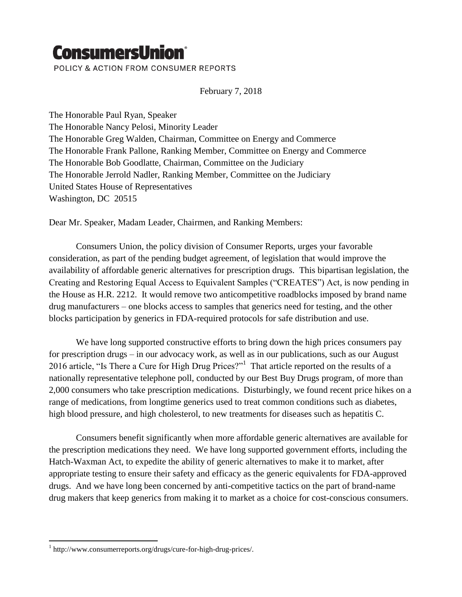## **ConsumersUnion®**

POLICY & ACTION FROM CONSUMER REPORTS

February 7, 2018

The Honorable Paul Ryan, Speaker The Honorable Nancy Pelosi, Minority Leader The Honorable Greg Walden, Chairman, Committee on Energy and Commerce The Honorable Frank Pallone, Ranking Member, Committee on Energy and Commerce The Honorable Bob Goodlatte, Chairman, Committee on the Judiciary The Honorable Jerrold Nadler, Ranking Member, Committee on the Judiciary United States House of Representatives Washington, DC 20515

Dear Mr. Speaker, Madam Leader, Chairmen, and Ranking Members:

Consumers Union, the policy division of Consumer Reports, urges your favorable consideration, as part of the pending budget agreement, of legislation that would improve the availability of affordable generic alternatives for prescription drugs. This bipartisan legislation, the Creating and Restoring Equal Access to Equivalent Samples ("CREATES") Act, is now pending in the House as H.R. 2212. It would remove two anticompetitive roadblocks imposed by brand name drug manufacturers – one blocks access to samples that generics need for testing, and the other blocks participation by generics in FDA-required protocols for safe distribution and use.

We have long supported constructive efforts to bring down the high prices consumers pay for prescription drugs – in our advocacy work, as well as in our publications, such as our August 2016 article, "Is There a Cure for High Drug Prices?"<sup>1</sup> That article reported on the results of a nationally representative telephone poll, conducted by our Best Buy Drugs program, of more than 2,000 consumers who take prescription medications. Disturbingly, we found recent price hikes on a range of medications, from longtime generics used to treat common conditions such as diabetes, high blood pressure, and high cholesterol, to new treatments for diseases such as hepatitis C.

Consumers benefit significantly when more affordable generic alternatives are available for the prescription medications they need. We have long supported government efforts, including the Hatch-Waxman Act, to expedite the ability of generic alternatives to make it to market, after appropriate testing to ensure their safety and efficacy as the generic equivalents for FDA-approved drugs. And we have long been concerned by anti-competitive tactics on the part of brand-name drug makers that keep generics from making it to market as a choice for cost-conscious consumers.

 $\overline{a}$ 

<sup>1</sup> http://www.consumerreports.org/drugs/cure-for-high-drug-prices/.